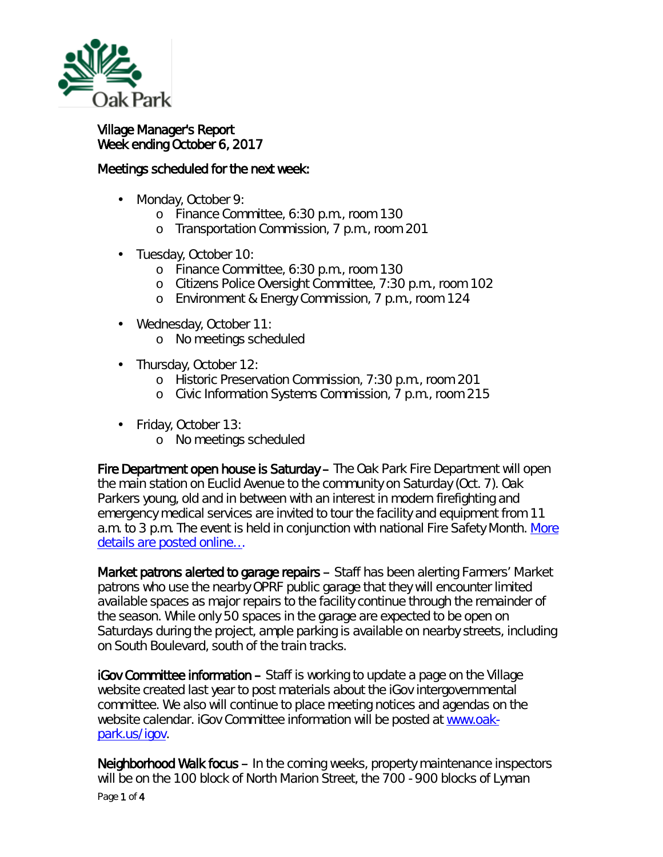

## Village Manager's Report Week ending October 6, 2017

## Meetings scheduled for the next week:

- a co Monday, October 9:
	- o Finance Committee, 6:30 p.m., room 130
	- o Transportation Commission, 7 p.m., room 201
- Tuesday, October 10:
	- o Finance Committee, 6:30 p.m., room 130
	- o Citizens Police Oversight Committee, 7:30 p.m., room 102
	- o Environment & Energy Commission, 7 p.m., room 124
- Wednesday, October 11:
	- o No meetings scheduled
- . Thursday, October 12:
	- o Historic Preservation Commission, 7:30 p.m., room 201
	- o Civic Information Systems Commission, 7 p.m., room 215
- Friday, October 13:
	- o No meetings scheduled

Fire Department open house is Saturday – The Oak Park Fire Department will open the main station on Euclid Avenue to the community on Saturday (Oct. 7). Oak Parkers young, old and in between with an interest in modern firefighting and emergency medical services are invited to tour the facility and equipment from 11 a.m. to 3 p.m. The event is held in conjunction with national Fire Safety Month. [More](http://www.oak-park.us/news/fire-department-hosting-open-house) [details are posted online…](http://www.oak-park.us/news/fire-department-hosting-open-house)

Market patrons alerted to garage repairs – Staff has been alerting Farmers' Market patrons who use the nearby OPRF public garage that they will encounter limited available spaces as major repairs to the facility continue through the remainder of the season. While only 50 spaces in the garage are expected to be open on Saturdays during the project, ample parking is available on nearby streets, including on South Boulevard, south of the train tracks.

iGov Committee information – Staff is working to update a page on the Village website created last year to post materials about the iGov intergovernmental committee. We also will continue to place meeting notices and agendas on the website calendar. iGov Committee information will be posted at [www.oak](http://www.oak-park.us/igov)[park.us/igov.](http://www.oak-park.us/igov)

Neighborhood Walk focus – In the coming weeks, property maintenance inspectors will be on the 100 block of North Marion Street, the 700 - 900 blocks of Lyman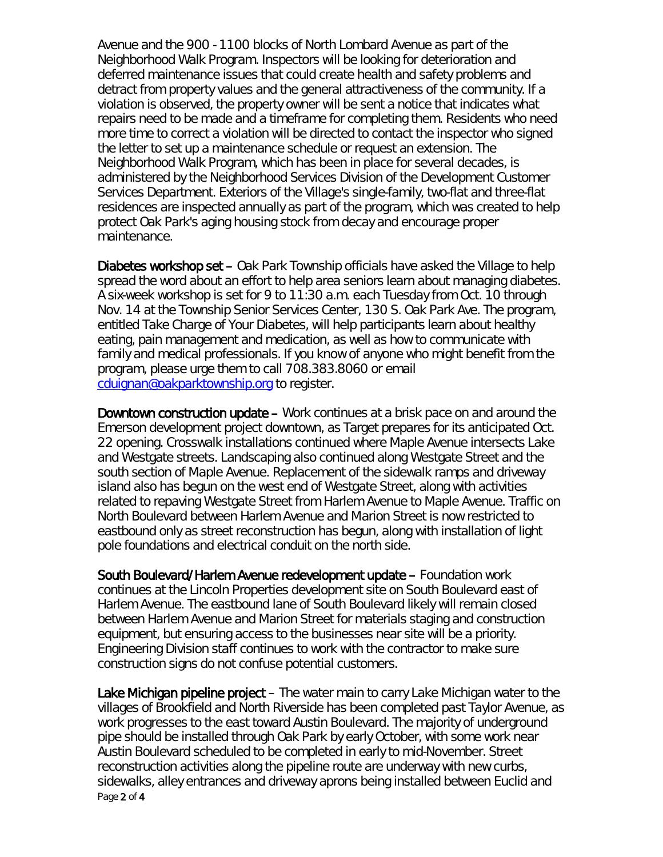Avenue and the 900 - 1100 blocks of North Lombard Avenue as part of the *Neighborhood Walk Program*. Inspectors will be looking for deterioration and deferred maintenance issues that could create health and safety problems and detract from property values and the general attractiveness of the community. If a violation is observed, the property owner will be sent a notice that indicates what repairs need to be made and a timeframe for completing them. Residents who need more time to correct a violation will be directed to contact the inspector who signed the letter to set up a maintenance schedule or request an extension. The Neighborhood Walk Program, which has been in place for several decades, is administered by the Neighborhood Services Division of the Development Customer Services Department. Exteriors of the Village's single-family, two-flat and three-flat residences are inspected annually as part of the program, which was created to help protect Oak Park's aging housing stock from decay and encourage proper maintenance.

Diabetes workshop set – Oak Park Township officials have asked the Village to help spread the word about an effort to help area seniors learn about managing diabetes. A six-week workshop is set for 9 to 11:30 a.m. each Tuesday from Oct. 10 through Nov. 14 at the Township Senior Services Center, 130 S. Oak Park Ave. The program, entitled *Take Charge of Your Diabetes*, will help participants learn about healthy eating, pain management and medication, as well as how to communicate with family and medical professionals. If you know of anyone who might benefit from the program, please urge them to call 708.383.8060 or email [cduignan@oakparktownship.org](mailto:cduignan@oakparktownship.org) to register.

Downtown construction update – Work continues at a brisk pace on and around the Emerson development project downtown, as Target prepares for its anticipated Oct. 22 opening. Crosswalk installations continued where Maple Avenue intersects Lake and Westgate streets. Landscaping also continued along Westgate Street and the south section of Maple Avenue. Replacement of the sidewalk ramps and driveway island also has begun on the west end of Westgate Street, along with activities related to repaving Westgate Street from Harlem Avenue to Maple Avenue. Traffic on North Boulevard between Harlem Avenue and Marion Street is now restricted to eastbound only as street reconstruction has begun, along with installation of light pole foundations and electrical conduit on the north side.

South Boulevard/Harlem Avenue redevelopment update – Foundation work continues at the Lincoln Properties development site on South Boulevard east of Harlem Avenue. The eastbound lane of South Boulevard likely will remain closed between Harlem Avenue and Marion Street for materials staging and construction equipment, but ensuring access to the businesses near site will be a priority. Engineering Division staff continues to work with the contractor to make sure construction signs do not confuse potential customers.

Page 2 of 4 Lake Michigan pipeline project – The water main to carry Lake Michigan water to the villages of Brookfield and North Riverside has been completed past Taylor Avenue, as work progresses to the east toward Austin Boulevard. The majority of underground pipe should be installed through Oak Park by early October, with some work near Austin Boulevard scheduled to be completed in early to mid-November. Street reconstruction activities along the pipeline route are underway with new curbs, sidewalks, alley entrances and driveway aprons being installed between Euclid and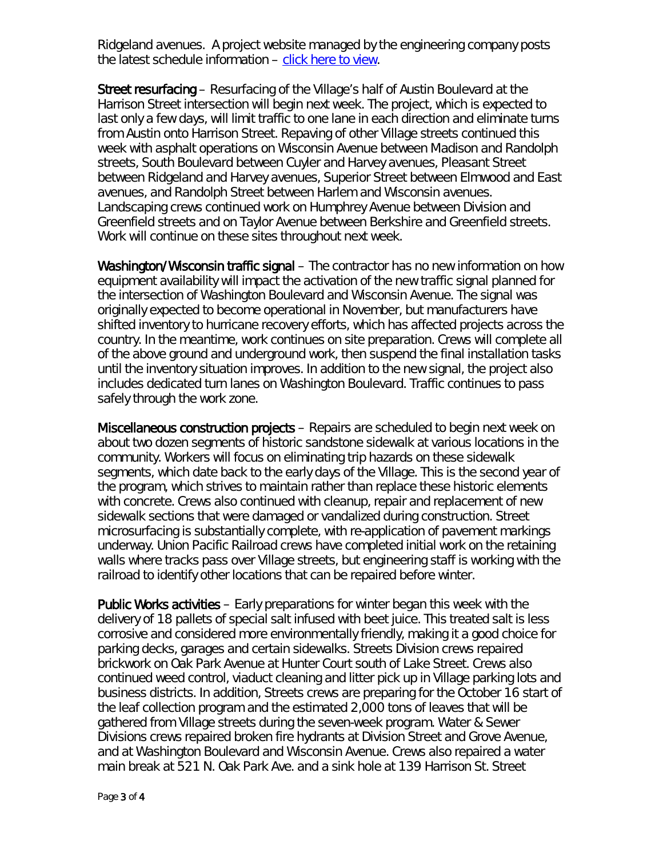Ridgeland avenues. A project website managed by the engineering company posts the latest schedule information – [click here to view.](http://www.bnrwcproject.com/index.php?/categories/5-Oak-Park)

Street resurfacing – Resurfacing of the Village's half of Austin Boulevard at the Harrison Street intersection will begin next week. The project, which is expected to last only a few days, will limit traffic to one lane in each direction and eliminate turns from Austin onto Harrison Street. Repaving of other Village streets continued this week with asphalt operations on Wisconsin Avenue between Madison and Randolph streets, South Boulevard between Cuyler and Harvey avenues, Pleasant Street between Ridgeland and Harvey avenues, Superior Street between Elmwood and East avenues, and Randolph Street between Harlem and Wisconsin avenues. Landscaping crews continued work on Humphrey Avenue between Division and Greenfield streets and on Taylor Avenue between Berkshire and Greenfield streets. Work will continue on these sites throughout next week.

Washington/Wisconsin traffic signal – The contractor has no new information on how equipment availability will impact the activation of the new traffic signal planned for the intersection of Washington Boulevard and Wisconsin Avenue. The signal was originally expected to become operational in November, but manufacturers have shifted inventory to hurricane recovery efforts, which has affected projects across the country. In the meantime, work continues on site preparation. Crews will complete all of the above ground and underground work, then suspend the final installation tasks until the inventory situation improves. In addition to the new signal, the project also includes dedicated turn lanes on Washington Boulevard. Traffic continues to pass safely through the work zone.

Miscellaneous construction projects – Repairs are scheduled to begin next week on about two dozen segments of historic sandstone sidewalk at various locations in the community. Workers will focus on eliminating trip hazards on these sidewalk segments, which date back to the early days of the Village. This is the second year of the program, which strives to maintain rather than replace these historic elements with concrete. Crews also continued with cleanup, repair and replacement of new sidewalk sections that were damaged or vandalized during construction. Street microsurfacing is substantially complete, with re-application of pavement markings underway. Union Pacific Railroad crews have completed initial work on the retaining walls where tracks pass over Village streets, but engineering staff is working with the railroad to identify other locations that can be repaired before winter.

Public Works activities – Early preparations for winter began this week with the delivery of 18 pallets of special salt infused with beet juice. This treated salt is less corrosive and considered more environmentally friendly, making it a good choice for parking decks, garages and certain sidewalks. Streets Division crews repaired brickwork on Oak Park Avenue at Hunter Court south of Lake Street. Crews also continued weed control, viaduct cleaning and litter pick up in Village parking lots and business districts. In addition, Streets crews are preparing for the October 16 start of the leaf collection program and the estimated 2,000 tons of leaves that will be gathered from Village streets during the seven-week program. Water & Sewer Divisions crews repaired broken fire hydrants at Division Street and Grove Avenue, and at Washington Boulevard and Wisconsin Avenue. Crews also repaired a water main break at 521 N. Oak Park Ave. and a sink hole at 139 Harrison St. Street